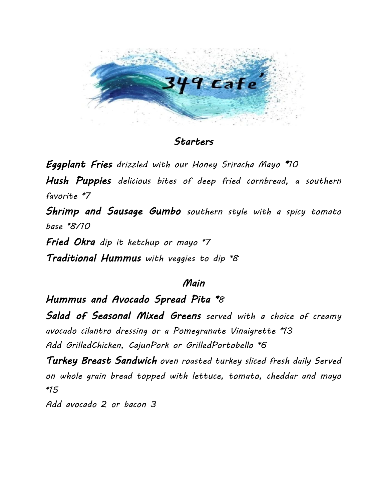

## Starters

Eggplant Fries drizzled with our Honey Sriracha Mayo \*10

Hush Puppies delicious bites of deep fried cornbread, a southern favorite \*7

Shrimp and Sausage Gumbo southern style with a spicy tomato base \*8/10

Fried Okra dip it ketchup or mayo \*7 Traditional Hummus with veggies to dip \*8

## Main

Hummus and Avocado Spread Pita \*8

Salad of Seasonal Mixed Greens served with a choice of creamy avocado cilantro dressing or a Pomegranate Vinaigrette \*13 Add GrilledChicken, CajunPork or GrilledPortobello \*6

Turkey Breast Sandwich oven roasted turkey sliced fresh daily Served on whole grain bread topped with lettuce, tomato, cheddar and mayo \*15

Add avocado 2 or bacon 3